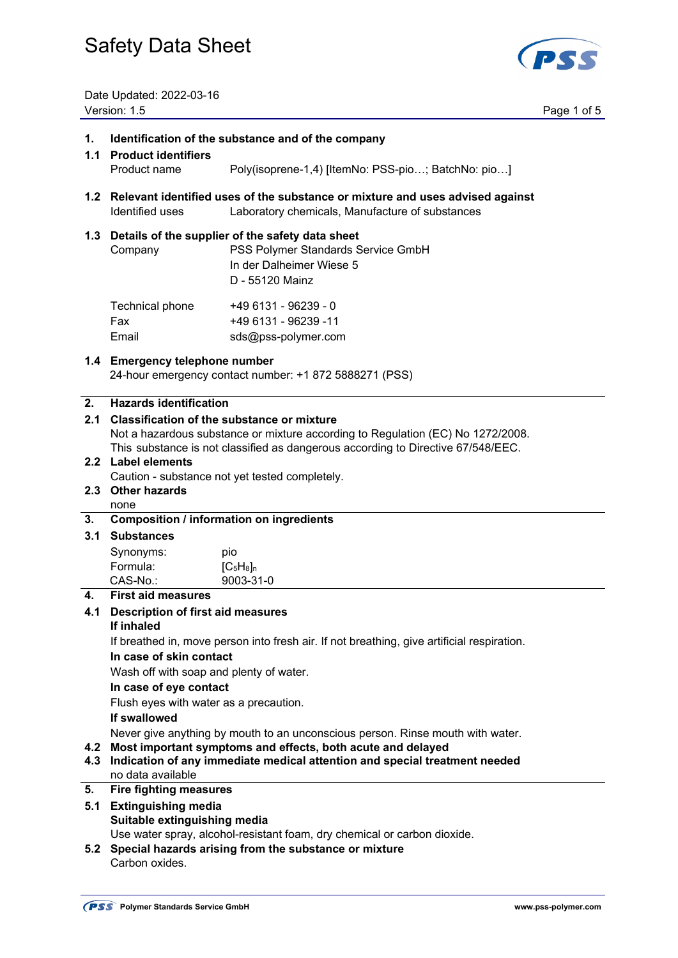

Date Updated: 2022-03-16 Version: 1.5 Page 1 of 5

| 1.<br>1.1 | Identification of the substance and of the company<br><b>Product identifiers</b>                                                                 |                                                                                                                                      |  |
|-----------|--------------------------------------------------------------------------------------------------------------------------------------------------|--------------------------------------------------------------------------------------------------------------------------------------|--|
|           | Product name                                                                                                                                     | Poly(isoprene-1,4) [ItemNo: PSS-pio; BatchNo: pio]                                                                                   |  |
|           | Identified uses                                                                                                                                  | 1.2 Relevant identified uses of the substance or mixture and uses advised against<br>Laboratory chemicals, Manufacture of substances |  |
| 1.3       | Details of the supplier of the safety data sheet<br>PSS Polymer Standards Service GmbH<br>Company<br>In der Dalheimer Wiese 5<br>D - 55120 Mainz |                                                                                                                                      |  |
|           | Technical phone<br>Fax<br>Email                                                                                                                  | +49 6131 - 96239 - 0<br>+49 6131 - 96239 -11<br>sds@pss-polymer.com                                                                  |  |
|           | 1.4 Emergency telephone number                                                                                                                   | 24-hour emergency contact number: +1 872 5888271 (PSS)                                                                               |  |
| 2.        | <b>Hazards identification</b>                                                                                                                    |                                                                                                                                      |  |
| 2.1       |                                                                                                                                                  | <b>Classification of the substance or mixture</b><br>Not a hazardous substance or mixture according to Regulation (EC) No 1272/2008. |  |
|           |                                                                                                                                                  | This substance is not classified as dangerous according to Directive 67/548/EEC.                                                     |  |
|           | 2.2 Label elements                                                                                                                               |                                                                                                                                      |  |
|           |                                                                                                                                                  | Caution - substance not yet tested completely.                                                                                       |  |
|           | 2.3 Other hazards                                                                                                                                |                                                                                                                                      |  |
| 3.        | none<br><b>Composition / information on ingredients</b>                                                                                          |                                                                                                                                      |  |
| 3.1       | <b>Substances</b>                                                                                                                                |                                                                                                                                      |  |
|           | Synonyms:                                                                                                                                        | pio                                                                                                                                  |  |
|           | Formula:                                                                                                                                         | $[C_5H_8]_n$                                                                                                                         |  |
|           | CAS-No.:                                                                                                                                         | 9003-31-0                                                                                                                            |  |
| 4.        | <b>First aid measures</b>                                                                                                                        |                                                                                                                                      |  |
| 4.1       | <b>Description of first aid measures</b>                                                                                                         |                                                                                                                                      |  |
|           | If inhaled                                                                                                                                       |                                                                                                                                      |  |
|           | If breathed in, move person into fresh air. If not breathing, give artificial respiration.                                                       |                                                                                                                                      |  |
|           | In case of skin contact                                                                                                                          |                                                                                                                                      |  |
|           | Wash off with soap and plenty of water.<br>In case of eye contact                                                                                |                                                                                                                                      |  |
|           | Flush eyes with water as a precaution.                                                                                                           |                                                                                                                                      |  |
|           | If swallowed                                                                                                                                     |                                                                                                                                      |  |
|           |                                                                                                                                                  | Never give anything by mouth to an unconscious person. Rinse mouth with water.                                                       |  |
| 4.2       | Most important symptoms and effects, both acute and delayed                                                                                      |                                                                                                                                      |  |
| 4.3       | Indication of any immediate medical attention and special treatment needed<br>no data available                                                  |                                                                                                                                      |  |
| 5.        | <b>Fire fighting measures</b>                                                                                                                    |                                                                                                                                      |  |
| 5.1       | <b>Extinguishing media</b>                                                                                                                       |                                                                                                                                      |  |
|           | Suitable extinguishing media                                                                                                                     |                                                                                                                                      |  |
|           |                                                                                                                                                  | Use water spray, alcohol-resistant foam, dry chemical or carbon dioxide.                                                             |  |
| 5.2       | Carbon oxides.                                                                                                                                   | Special hazards arising from the substance or mixture                                                                                |  |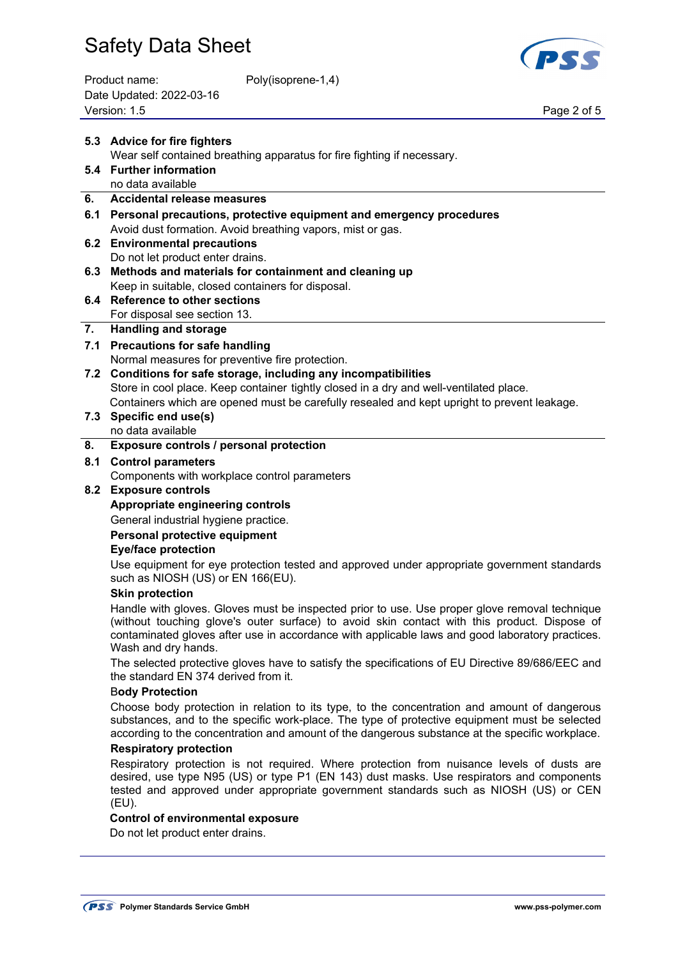| Product name:            | Poly(isoprene-1,4) |
|--------------------------|--------------------|
| Date Updated: 2022-03-16 |                    |
| Version: 1.5             |                    |



Page 2 of 5

|     | 5.3 Advice for fire fighters                                                                                                                                                                                                                                                                                            |  |  |
|-----|-------------------------------------------------------------------------------------------------------------------------------------------------------------------------------------------------------------------------------------------------------------------------------------------------------------------------|--|--|
|     | Wear self contained breathing apparatus for fire fighting if necessary.                                                                                                                                                                                                                                                 |  |  |
|     | 5.4 Further information                                                                                                                                                                                                                                                                                                 |  |  |
|     | no data available                                                                                                                                                                                                                                                                                                       |  |  |
| 6.  | <b>Accidental release measures</b>                                                                                                                                                                                                                                                                                      |  |  |
|     | 6.1 Personal precautions, protective equipment and emergency procedures                                                                                                                                                                                                                                                 |  |  |
|     | Avoid dust formation. Avoid breathing vapors, mist or gas.                                                                                                                                                                                                                                                              |  |  |
| 6.2 | <b>Environmental precautions</b><br>Do not let product enter drains.                                                                                                                                                                                                                                                    |  |  |
| 6.3 | Methods and materials for containment and cleaning up                                                                                                                                                                                                                                                                   |  |  |
|     | Keep in suitable, closed containers for disposal.                                                                                                                                                                                                                                                                       |  |  |
| 6.4 | <b>Reference to other sections</b>                                                                                                                                                                                                                                                                                      |  |  |
|     | For disposal see section 13.                                                                                                                                                                                                                                                                                            |  |  |
| 7.  | <b>Handling and storage</b>                                                                                                                                                                                                                                                                                             |  |  |
|     | 7.1 Precautions for safe handling                                                                                                                                                                                                                                                                                       |  |  |
|     | Normal measures for preventive fire protection.                                                                                                                                                                                                                                                                         |  |  |
|     | 7.2 Conditions for safe storage, including any incompatibilities                                                                                                                                                                                                                                                        |  |  |
|     | Store in cool place. Keep container tightly closed in a dry and well-ventilated place.                                                                                                                                                                                                                                  |  |  |
|     | Containers which are opened must be carefully resealed and kept upright to prevent leakage.                                                                                                                                                                                                                             |  |  |
|     | 7.3 Specific end use(s)                                                                                                                                                                                                                                                                                                 |  |  |
|     | no data available                                                                                                                                                                                                                                                                                                       |  |  |
| 8.  | Exposure controls / personal protection                                                                                                                                                                                                                                                                                 |  |  |
| 8.1 | <b>Control parameters</b>                                                                                                                                                                                                                                                                                               |  |  |
|     | Components with workplace control parameters                                                                                                                                                                                                                                                                            |  |  |
| 8.2 | <b>Exposure controls</b>                                                                                                                                                                                                                                                                                                |  |  |
|     | Appropriate engineering controls                                                                                                                                                                                                                                                                                        |  |  |
|     | General industrial hygiene practice.                                                                                                                                                                                                                                                                                    |  |  |
|     | Personal protective equipment                                                                                                                                                                                                                                                                                           |  |  |
|     | <b>Eye/face protection</b>                                                                                                                                                                                                                                                                                              |  |  |
|     | Use equipment for eye protection tested and approved under appropriate government standards<br>such as NIOSH (US) or EN 166(EU).                                                                                                                                                                                        |  |  |
|     | <b>Skin protection</b>                                                                                                                                                                                                                                                                                                  |  |  |
|     | Handle with gloves. Gloves must be inspected prior to use. Use proper glove removal technique<br>(without touching glove's outer surface) to avoid skin contact with this product. Dispose of<br>contaminated gloves after use in accordance with applicable laws and good laboratory practices.<br>Wash and dry hands. |  |  |
|     | The selected protective gloves have to satisfy the specifications of EU Directive 89/686/EEC and<br>the standard EN 374 derived from it.                                                                                                                                                                                |  |  |
|     | <b>Body Protection</b>                                                                                                                                                                                                                                                                                                  |  |  |
|     | Choose body protection in relation to its type, to the concentration and amount of dangerous<br>substances, and to the specific work-place. The type of protective equipment must be selected<br>according to the concentration and amount of the dangerous substance at the specific workplace.                        |  |  |
|     | <b>Respiratory protection</b>                                                                                                                                                                                                                                                                                           |  |  |
|     | Respiratory protection is not required. Where protection from nuisance levels of dusts are<br>desired, use type N95 (US) or type P1 (EN 143) dust masks. Use respirators and components<br>tested and approved under appropriate government standards such as NIOSH (US) or CEN<br>(EU).                                |  |  |
|     | <b>Control of environmental exposure</b>                                                                                                                                                                                                                                                                                |  |  |
|     | Do not let product enter drains.                                                                                                                                                                                                                                                                                        |  |  |
|     |                                                                                                                                                                                                                                                                                                                         |  |  |
|     |                                                                                                                                                                                                                                                                                                                         |  |  |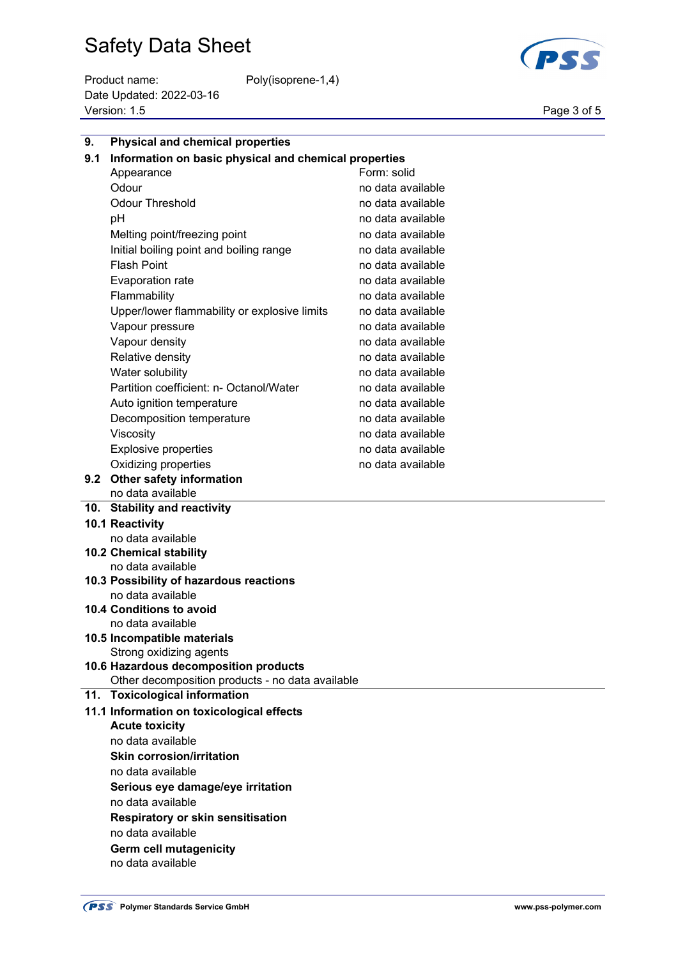Product name: Poly(isoprene-1,4) Date Updated: 2022-03-16 Version: 1.5 Page 3 of 5



| 9.  | <b>Physical and chemical properties</b>               |                   |  |
|-----|-------------------------------------------------------|-------------------|--|
| 9.1 | Information on basic physical and chemical properties |                   |  |
|     | Form: solid<br>Appearance                             |                   |  |
|     | Odour                                                 | no data available |  |
|     | <b>Odour Threshold</b>                                | no data available |  |
|     | рH                                                    | no data available |  |
|     | Melting point/freezing point                          | no data available |  |
|     | Initial boiling point and boiling range               | no data available |  |
|     | <b>Flash Point</b>                                    | no data available |  |
|     | <b>Evaporation rate</b>                               | no data available |  |
|     | Flammability                                          | no data available |  |
|     | Upper/lower flammability or explosive limits          | no data available |  |
|     | Vapour pressure                                       | no data available |  |
|     | Vapour density                                        | no data available |  |
|     | Relative density                                      | no data available |  |
|     | Water solubility                                      | no data available |  |
|     | Partition coefficient: n- Octanol/Water               | no data available |  |
|     | Auto ignition temperature                             | no data available |  |
|     | Decomposition temperature                             | no data available |  |
|     | Viscosity                                             | no data available |  |
|     | <b>Explosive properties</b>                           | no data available |  |
|     | Oxidizing properties                                  | no data available |  |
| 9.2 | Other safety information                              |                   |  |
|     | no data available                                     |                   |  |
|     | 10. Stability and reactivity                          |                   |  |
|     | 10.1 Reactivity                                       |                   |  |
|     | no data available                                     |                   |  |
|     | 10.2 Chemical stability                               |                   |  |
|     | no data available                                     |                   |  |
|     | 10.3 Possibility of hazardous reactions               |                   |  |
|     | no data available<br>10.4 Conditions to avoid         |                   |  |
|     | no data available                                     |                   |  |
|     | 10.5 Incompatible materials                           |                   |  |
|     | Strong oxidizing agents                               |                   |  |
|     | 10.6 Hazardous decomposition products                 |                   |  |
|     | Other decomposition products - no data available      |                   |  |
| 11. | <b>Toxicological information</b>                      |                   |  |
|     | 11.1 Information on toxicological effects             |                   |  |
|     | <b>Acute toxicity</b>                                 |                   |  |
|     | no data available                                     |                   |  |
|     | <b>Skin corrosion/irritation</b>                      |                   |  |
|     | no data available                                     |                   |  |
|     | Serious eye damage/eye irritation                     |                   |  |
|     | no data available                                     |                   |  |
|     | <b>Respiratory or skin sensitisation</b>              |                   |  |
|     | no data available                                     |                   |  |
|     | Germ cell mutagenicity                                |                   |  |

no data available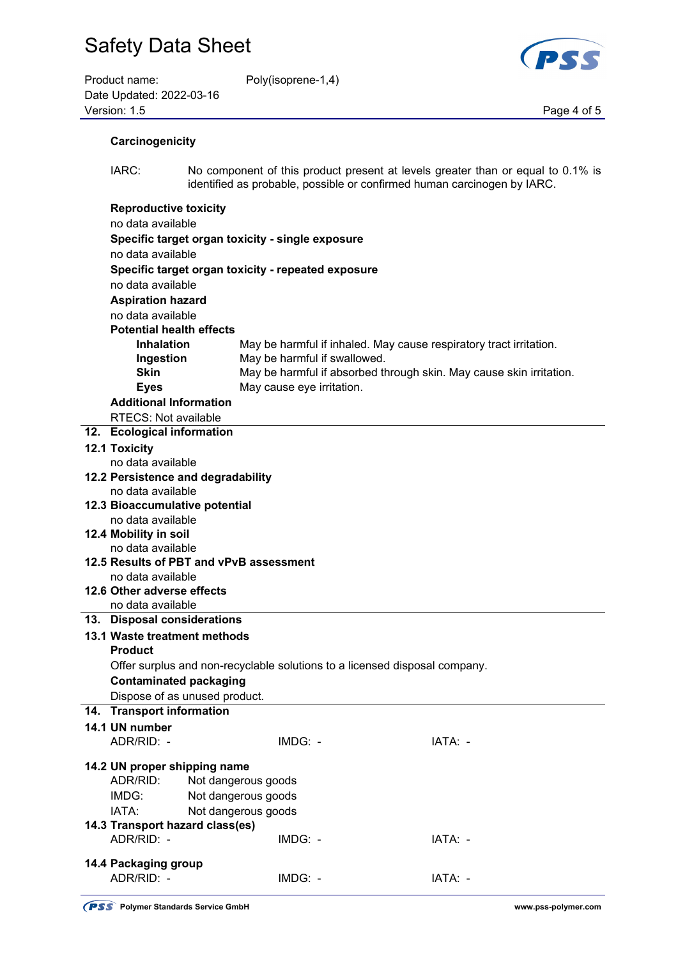| Product name:            | Poly(isoprene-1,4) |             |
|--------------------------|--------------------|-------------|
| Date Updated: 2022-03-16 |                    |             |
| Version: 1.5             |                    | Page 4 of 5 |

oly(isoprene-1,4)



| Carcinogenicity |  |
|-----------------|--|
|                 |  |

 IARC: No component of this product present at levels greater than or equal to 0.1% is identified as probable, possible or confirmed human carcinogen by IARC.

| <b>Reproductive toxicity</b>                                               |                                                    |                                                                     |  |
|----------------------------------------------------------------------------|----------------------------------------------------|---------------------------------------------------------------------|--|
| no data available                                                          |                                                    |                                                                     |  |
| Specific target organ toxicity - single exposure                           |                                                    |                                                                     |  |
| no data available                                                          |                                                    |                                                                     |  |
|                                                                            | Specific target organ toxicity - repeated exposure |                                                                     |  |
| no data available                                                          |                                                    |                                                                     |  |
| <b>Aspiration hazard</b>                                                   |                                                    |                                                                     |  |
| no data available                                                          |                                                    |                                                                     |  |
| <b>Potential health effects</b>                                            |                                                    |                                                                     |  |
| <b>Inhalation</b>                                                          |                                                    | May be harmful if inhaled. May cause respiratory tract irritation.  |  |
| Ingestion                                                                  | May be harmful if swallowed.                       |                                                                     |  |
| Skin                                                                       |                                                    | May be harmful if absorbed through skin. May cause skin irritation. |  |
| <b>Eyes</b>                                                                | May cause eye irritation.                          |                                                                     |  |
| <b>Additional Information</b>                                              |                                                    |                                                                     |  |
| <b>RTECS: Not available</b>                                                |                                                    |                                                                     |  |
| 12. Ecological information                                                 |                                                    |                                                                     |  |
| 12.1 Toxicity                                                              |                                                    |                                                                     |  |
| no data available                                                          |                                                    |                                                                     |  |
| 12.2 Persistence and degradability                                         |                                                    |                                                                     |  |
| no data available                                                          |                                                    |                                                                     |  |
| 12.3 Bioaccumulative potential                                             |                                                    |                                                                     |  |
| no data available                                                          |                                                    |                                                                     |  |
| 12.4 Mobility in soil                                                      |                                                    |                                                                     |  |
| no data available                                                          |                                                    |                                                                     |  |
| 12.5 Results of PBT and vPvB assessment                                    |                                                    |                                                                     |  |
| no data available                                                          |                                                    |                                                                     |  |
| 12.6 Other adverse effects                                                 |                                                    |                                                                     |  |
| no data available                                                          |                                                    |                                                                     |  |
| 13. Disposal considerations                                                |                                                    |                                                                     |  |
| 13.1 Waste treatment methods                                               |                                                    |                                                                     |  |
| <b>Product</b>                                                             |                                                    |                                                                     |  |
| Offer surplus and non-recyclable solutions to a licensed disposal company. |                                                    |                                                                     |  |
| <b>Contaminated packaging</b>                                              |                                                    |                                                                     |  |
| Dispose of as unused product.                                              |                                                    |                                                                     |  |
| 14. Transport information                                                  |                                                    |                                                                     |  |
| 14.1 UN number<br>ADR/RID: -                                               | IMDG: -                                            | IATA: -                                                             |  |
|                                                                            |                                                    |                                                                     |  |
| 14.2 UN proper shipping name                                               |                                                    |                                                                     |  |
| ADR/RID:                                                                   | Not dangerous goods                                |                                                                     |  |
| IMDG:                                                                      | Not dangerous goods                                |                                                                     |  |
| IATA:                                                                      | Not dangerous goods                                |                                                                     |  |
| 14.3 Transport hazard class(es)                                            |                                                    |                                                                     |  |
| ADR/RID: -                                                                 | IMDG: -                                            | IATA: -                                                             |  |
|                                                                            |                                                    |                                                                     |  |
| 14.4 Packaging group<br>ADR/RID: -                                         | IMDG: -                                            | IATA: -                                                             |  |
|                                                                            |                                                    |                                                                     |  |